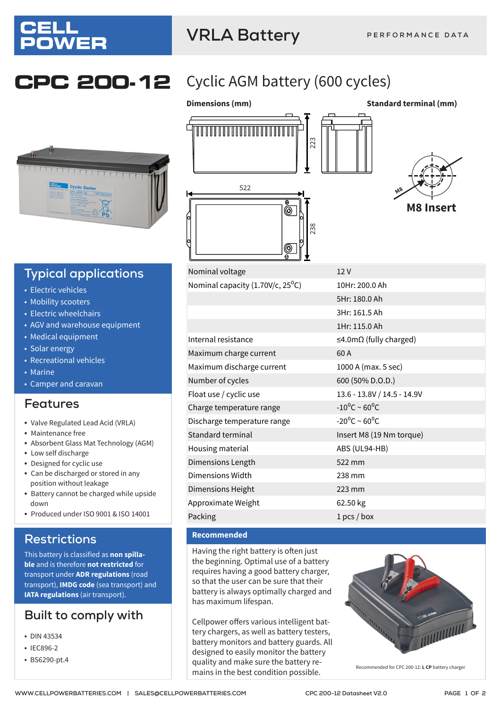

## **VRLA Battery**



## **Typical applications**

- Electric vehicles
- Mobility scooters
- Electric wheelchairs
- AGV and warehouse equipment
- Medical equipment
- Solar energy
- Recreational vehicles
- Marine
- Camper and caravan

## **Features**

- Valve Regulated Lead Acid (VRLA)
- Maintenance free
- Absorbent Glass Mat Technology (AGM)
- Low self discharge
- Designed for cyclic use
- Can be discharged or stored in any position without leakage
- Battery cannot be charged while upside down
- Produced under ISO 9001 & ISO 14001

## **Restrictions**

This battery is classified as **non spillable** and is therefore **not restricted** for transport under **ADR regulations** (road transport), **IMDG code** (sea transport) and **IATA regulations** (air transport).

## **Built to comply with**

- DIN 43534
- IEC896-2
- BS6290-pt.4

## **CPC 200-12** Cyclic AGM battery (600 cycles)



Nominal voltage 12 V



**M8 Insert**

| 10Hr: 200.0 Ah                       |
|--------------------------------------|
| 5Hr: 180.0 Ah                        |
| 3Hr: 161.5 Ah                        |
| 1Hr: 115.0 Ah                        |
| $\leq$ 4.0m $\Omega$ (fully charged) |
| 60A                                  |
| 1000 A (max. 5 sec)                  |
| 600 (50% D.O.D.)                     |
| 13.6 - 13.8V / 14.5 - 14.9V          |
| $-10^{\circ}$ C ~ 60°C               |
| $-20^{\circ}$ C ~ 60 <sup>o</sup> C  |
| Insert M8 (19 Nm torque)             |
| ABS (UL94-HB)                        |
| 522 mm                               |
| 238 mm                               |
| 223 mm                               |
| 62.50 kg                             |
| $1 pcs/b$ ox                         |
|                                      |

### **Recommended**

Having the right battery is often just the beginning. Optimal use of a battery requires having a good battery charger, so that the user can be sure that their battery is always optimally charged and has maximum lifespan.

Cellpower offers various intelligent battery chargers, as well as battery testers, battery monitors and battery guards. All designed to easily monitor the battery quality and make sure the battery requality and make sure the battery re-<br>mains in the best condition possible.